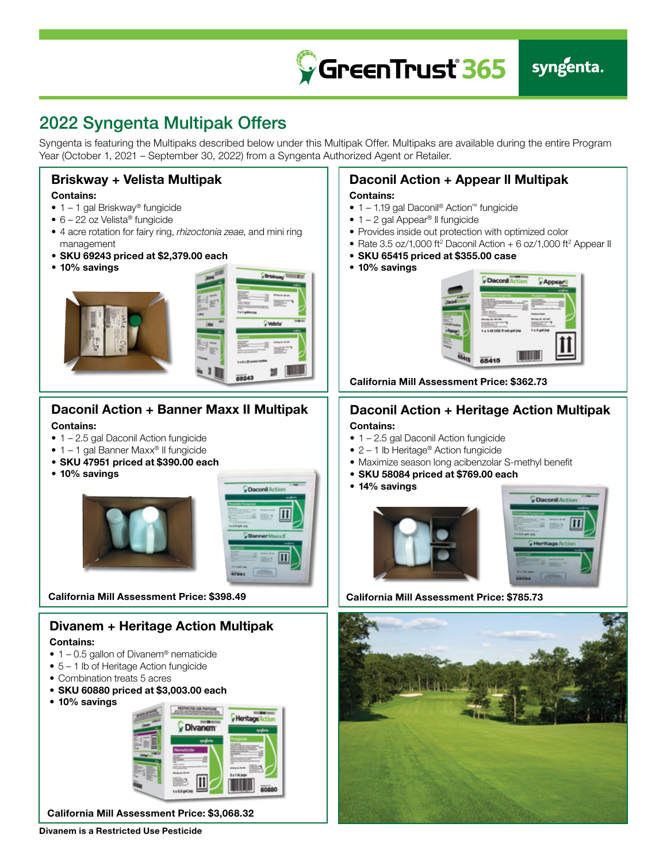

## 2022 Syngenta Multipak Offers

Syngenta is featuring the Multipaks described below under this Multipak Offer. Multipaks are available during the entire Program Year (October 1, 2021 – September 30, 2022) from a Syngenta Authorized Agent or Retailer.



### Contains:

- 1 1.19 gal Daconil® Action™ fungicide
- $\bullet$  1 2 gal Appear<sup>®</sup> II fungicide
- Provides inside out protection with optimized color

Daconil Action + Appear ll Multipak

- Rate 3.5 oz/1,000 ft<sup>2</sup> Daconil Action + 6 oz/1,000 ft<sup>2</sup> Appear II
- SKU 65415 priced at \$355.00 case
- 10% savings



California Mill Assessment Price: \$362.73

### Daconil Action + Heritage Action Multipak

#### Contains:

- 1 2.5 gal Daconil Action fungicide
- 2 1 lb Heritage<sup>®</sup> Action fungicide
- Maximize season long acibenzolar S-methyl benefit
- SKU 58084 priced at \$769.00 each
- 14% savings



California Mill Assessment Price: \$785.73



#### • 10% savings





California Mill Assessment Price: \$398.49

### Divanem + Heritage Action Multipak

#### Contains:

- $\bullet$  1 0.5 gallon of Divanem<sup>®</sup> nematicide
- $5 1$  lb of Heritage Action fungicide
- Combination treats 5 acres
- SKU 60880 priced at \$3,003.00 each
- 10% savings



California Mill Assessment Price: \$3,068.32